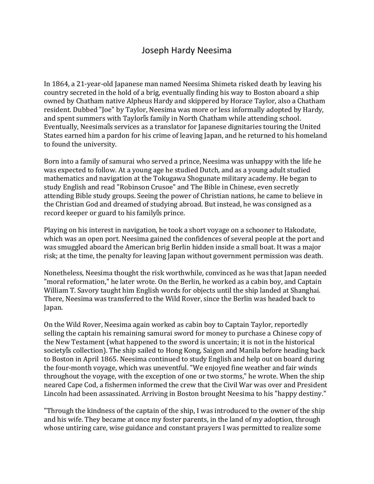## Joseph Hardy Neesima

In 1864, a 21-year-old Japanese man named Neesima Shimeta risked death by leaving his country secreted in the hold of a brig, eventually finding his way to Boston aboard a ship owned by Chatham native Alpheus Hardy and skippered by Horace Taylor, also a Chatham resident. Dubbed "Joe" by Taylor, Neesima was more or less informally adopted by Hardy, and spent summers with Taylor's family in North Chatham while attending school. Eventually, Neesima's services as a translator for Japanese dignitaries touring the United States earned him a pardon for his crime of leaving Japan, and he returned to his homeland to found the university.

Born into a family of samurai who served a prince, Neesima was unhappy with the life he was expected to follow. At a young age he studied Dutch, and as a young adult studied mathematics and navigation at the Tokugawa Shogunate military academy. He began to study English and read "Robinson Crusoe" and The Bible in Chinese, even secretly attending Bible study groups. Seeing the power of Christian nations, he came to believe in the Christian God and dreamed of studying abroad. But instead, he was consigned as a record keeper or guard to his family's prince.

Playing on his interest in navigation, he took a short voyage on a schooner to Hakodate, which was an open port. Neesima gained the confidences of several people at the port and was smuggled aboard the American brig Berlin hidden inside a small boat. It was a major risk; at the time, the penalty for leaving Japan without government permission was death.

Nonetheless, Neesima thought the risk worthwhile, convinced as he was that Japan needed "moral reformation," he later wrote. On the Berlin, he worked as a cabin boy, and Captain William T. Savory taught him English words for objects until the ship landed at Shanghai. There, Neesima was transferred to the Wild Rover, since the Berlin was headed back to Japan.

On the Wild Rover, Neesima again worked as cabin boy to Captain Taylor, reportedly selling the captain his remaining samurai sword for money to purchase a Chinese copy of the New Testament (what happened to the sword is uncertain; it is not in the historical society's collection). The ship sailed to Hong Kong, Saigon and Manila before heading back to Boston in April 1865. Neesima continued to study English and help out on board during the four-month voyage, which was uneventful. "We enjoyed fine weather and fair winds throughout the voyage, with the exception of one or two storms," he wrote. When the ship neared Cape Cod, a fishermen informed the crew that the Civil War was over and President Lincoln had been assassinated. Arriving in Boston brought Neesima to his "happy destiny."

"Through the kindness of the captain of the ship, I was introduced to the owner of the ship and his wife. They became at once my foster parents, in the land of my adoption, through whose untiring care, wise guidance and constant prayers I was permitted to realize some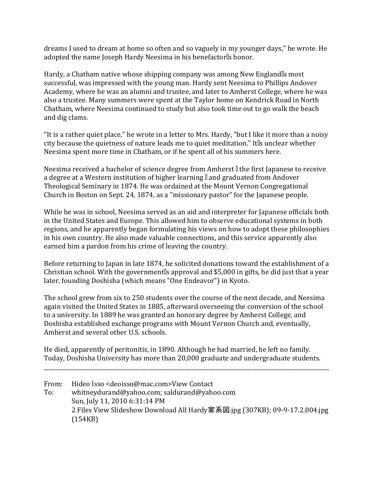dreams I used to dream at home so often and so vaguely in my younger days," he wrote. He adopted the name Joseph Hardy Neesima in his benefactor's honor.

Hardy, a Chatham native whose shipping company was among New England's most successful, was impressed with the young man. Hardy sent Neesima to Phillips Andover Academy, where he was an alumni and trustee, and later to Amherst College, where he was also a trustee. Many summers were spent at the Taylor home on Kendrick Road in North Chatham, where Neesima continued to study but also took time out to go walk the beach and dig clams.

"It is a rather quiet place," he wrote in a letter to Mrs. Hardy, "but I like it more than a noisy city because the quietness of nature leads me to quiet meditation." It's unclear whether Neesima spent more time in Chatham, or if he spent all of his summers here.

Neesima received a bachelor of science degree from Amherst —the first Japanese to receive a degree at a Western institution of higher learning —and graduated from Andover Theological Seminary in 1874. He was ordained at the Mount Vernon Congregational Church in Boston on Sept. 24, 1874, as a "missionary pastor" for the Japanese people.

While he was in school, Neesima served as an aid and interpreter for Japanese officials both in the United States and Europe. This allowed him to observe educational systems in both regions, and he apparently began formulating his views on how to adopt these philosophies in his own country. He also made valuable connections, and this service apparently also earned him a pardon from his crime of leaving the country.

Before returning to Japan in late 1874, he solicited donations toward the establishment of a Christian school. With the government's approval and \$5,000 in gifts, he did just that a year later, founding Doshisha (which means "One Endeavor") in Kyoto.

The school grew from six to 250 students over the course of the next decade, and Neesima again visited the United States in 1885, afterward overseeing the conversion of the school to a university. In 1889 he was granted an honorary degree by Amherst College, and Doshisha established exchange programs with Mount Vernon Church and, eventually, Amherst and several other U.S. schools.

He died, apparently of peritonitis, in 1890. Although he had married, he left no family. Today, Doshisha University has more than 20,000 graduate and undergraduate students.

\_\_\_\_\_\_\_\_\_\_\_\_\_\_\_\_\_\_\_\_\_\_\_\_\_\_\_\_\_\_\_\_\_\_\_\_\_\_\_\_\_\_\_\_\_\_\_\_\_\_\_\_\_\_\_\_\_\_\_\_\_\_\_\_\_\_\_\_\_\_\_\_\_\_\_\_\_\_\_\_\_\_\_\_\_\_\_\_\_\_\_\_\_\_\_\_\_\_\_\_\_\_\_\_\_

From: Hideo Isso <deoisso@mac.com>View Contact To: whitneydurand@yahoo.com; saldurand@yahoo.com Sun, July 11, 2010 6:31:14 PM 2 Files View Slideshow Download All Hardy家系図.jpg (307KB); 09-9-17.2.004.jpg (154KB)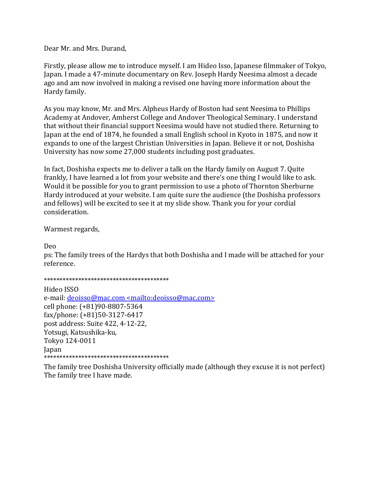Dear Mr. and Mrs. Durand,

Firstly, please allow me to introduce myself. I am Hideo Isso, Japanese filmmaker of Tokyo, Japan. I made a 47-minute documentary on Rev. Joseph Hardy Neesima almost a decade ago and am now involved in making a revised one having more information about the Hardy family.

As you may know, Mr. and Mrs. Alpheus Hardy of Boston had sent Neesima to Phillips Academy at Andover, Amherst College and Andover Theological Seminary. I understand that without their financial support Neesima would have not studied there. Returning to Japan at the end of 1874, he founded a small English school in Kyoto in 1875, and now it expands to one of the largest Christian Universities in Japan. Believe it or not, Doshisha University has now some 27,000 students including post graduates.

In fact, Doshisha expects me to deliver a talk on the Hardy family on August 7. Quite frankly, I have learned a lot from your website and there's one thing I would like to ask. Would it be possible for you to grant permission to use a photo of Thornton Sherburne Hardy introduced at your website. I am quite sure the audience (the Doshisha professors and fellows) will be excited to see it at my slide show. Thank you for your cordial consideration.

Warmest regards,

Deo

ps: The family trees of the Hardys that both Doshisha and I made will be attached for your reference.

\*\*\*\*\*\*\*\*\*\*\*\*\*\*\*\*\*\*\*\*\*\*\*\*\*\*\*\*\*\*\*\*\*\*\*\*\*\*\*\*

Hideo ISSO e-mail: deoisso@mac.com <mailto:deoisso@mac.com> cell phone: (+81)90-8807-5364 fax/phone: (+81)50-3127-6417 post address: Suite 422, 4-12-22, Yotsugi, Katsushika-ku, Tokyo 124-0011 Japan \*\*\*\*\*\*\*\*\*\*\*\*\*\*\*\*\*\*\*\*\*\*\*\*\*\*\*\*\*\*\*\*\*\*\*\*\*\*\*\*

The family tree Doshisha University officially made (although they excuse it is not perfect) The family tree I have made.